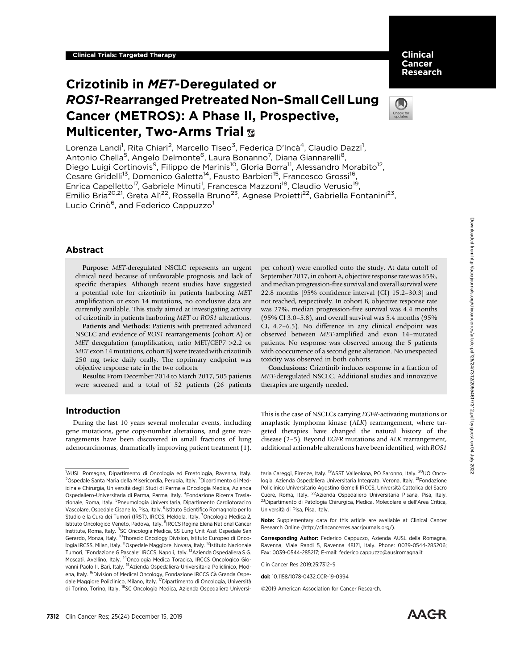Clinical Cancer Research

# Crizotinib in MET-Deregulated or ROS1-Rearranged Pretreated Non–Small Cell Lung Cancer (METROS): A Phase II, Prospective, **Multicenter, Two-Arms Trial &**



Lorenza Landi<sup>1</sup>, Rita Chiari<sup>2</sup>, Marcello Tiseo<sup>3</sup>, Federica D'Incà<sup>4</sup>, Claudio Dazzi<sup>1</sup>, Antonio Chella<sup>5</sup>, Angelo Delmonte<sup>6</sup>, Laura Bonanno<sup>7</sup>, Diana Giannarelli<sup>8</sup>, Diego Luigi Cortinovis<sup>9</sup>, Filippo de Marinis<sup>10</sup>, Gloria Borra<sup>11</sup>, Alessandro Morabito<sup>12</sup>, Cesare Gridelli<sup>13</sup>, Domenico Galetta<sup>14</sup>, Fausto Barbieri<sup>15</sup>, Francesco Grossi<sup>16</sup>, Enrica Capelletto<sup>17</sup>, Gabriele Minuti<sup>1</sup>, Francesca Mazzoni<sup>18</sup>, Claudio Verusio<sup>19</sup>, Emilio Bria<sup>20,21</sup>, Greta Alì<sup>22</sup>, Rossella Bruno<sup>23</sup>, Agnese Proietti<sup>22</sup>, Gabriella Fontanini<sup>23</sup>, Lucio Crinò<sup>6</sup>, and Federico Cappuzzo<sup>1</sup>

# Abstract

Purpose: MET-deregulated NSCLC represents an urgent clinical need because of unfavorable prognosis and lack of specific therapies. Although recent studies have suggested a potential role for crizotinib in patients harboring MET amplification or exon 14 mutations, no conclusive data are currently available. This study aimed at investigating activity of crizotinib in patients harboring MET or ROS1 alterations.

Patients and Methods: Patients with pretreated advanced NSCLC and evidence of ROS1 rearrangements (cohort A) or MET deregulation (amplification, ratio MET/CEP7 >2.2 or MET exon 14 mutations, cohort B) were treated with crizotinib 250 mg twice daily orally. The coprimary endpoint was objective response rate in the two cohorts.

Results: From December 2014 to March 2017, 505 patients were screened and a total of 52 patients (26 patients per cohort) were enrolled onto the study. At data cutoff of September 2017, in cohort A, objective response rate was 65%, and median progression-free survival and overall survival were 22.8 months [95% confidence interval (CI) 15.2–30.3] and not reached, respectively. In cohort B, objective response rate was 27%, median progression-free survival was 4.4 months (95% CI 3.0–5.8), and overall survival was 5.4 months (95% CI, 4.2–6.5). No difference in any clinical endpoint was observed between MET-amplified and exon 14–mutated patients. No response was observed among the 5 patients with cooccurrence of a second gene alteration. No unexpected toxicity was observed in both cohorts.

Conclusions: Crizotinib induces response in a fraction of MET-deregulated NSCLC. Additional studies and innovative therapies are urgently needed.

# Introduction

During the last 10 years several molecular events, including gene mutations, gene copy-number alterations, and gene rearrangements have been discovered in small fractions of lung adenocarcinomas, dramatically improving patient treatment (1). This is the case of NSCLCs carrying EGFR-activating mutations or anaplastic lymphoma kinase (ALK) rearrangement, where targeted therapies have changed the natural history of the disease (2–5). Beyond EGFR mutations and ALK rearrangement, additional actionable alterations have been identified, with ROS1

taria Careggi, Firenze, Italy. <sup>19</sup>ASST Valleolona, PO Saronno, Italy. <sup>20</sup>UO Oncologia, Azienda Ospedaliera Universitaria Integrata, Verona, Italy. <sup>21</sup>Fondazione Policlinico Universitario Agostino Gemelli IRCCS, Universita Cattolica del Sacro Cuore, Roma, Italy. 22Azienda Ospedaliero Universitaria Pisana, Pisa, Italy. <sup>23</sup>Dipartimento di Patologia Chirurgica, Medica, Molecolare e dell'Area Critica, Universita di Pisa, Pisa, Italy.

Note: Supplementary data for this article are available at Clinical Cancer Research Online (http://clincancerres.aacrjournals.org/).

Corresponding Author: Federico Cappuzzo, Azienda AUSL della Romagna, Ravenna, Viale Randi 5, Ravenna 48121, Italy. Phone: 0039-0544-285206; Fax: 0039-0544-285217; E-mail: federico.cappuzzo@auslromagna.it

Clin Cancer Res 2019;25:7312–9

©2019 American Association for Cancer Research.



<sup>1</sup> AUSL Romagna, Dipartimento di Oncologia ed Ematologia, Ravenna, Italy. <sup>2</sup>Ospedale Santa Maria della Misericordia, Perugia, Italy. <sup>3</sup>Dipartimento di Medicina e Chirurgia, Universita degli Studi di Parma e Oncologia Medica, Azienda Ospedaliero-Universitaria di Parma, Parma, Italy. <sup>4</sup> Fondazione Ricerca Traslazionale, Roma, Italy. <sup>5</sup>Pneumologia Universitaria, Dipartimento Cardiotoracico Vascolare, Ospedale Cisanello, Pisa, Italy. <sup>6</sup>Istituto Scientifico Romagnolo per lo Studio e la Cura dei Tumori (IRST), IRCCS, Meldola, Italy. <sup>7</sup>Oncologia Medica 2, Istituto Oncologico Veneto, Padova, Italy. <sup>8</sup>IRCCS Regina Elena National Cancer Institute, Roma, Italy. <sup>9</sup>SC Oncologia Medica, SS Lung Unit Asst Ospedale San Gerardo, Monza, Italy. 10Thoracic Oncology Division, Istituto Europeo di Oncologia IRCSS, Milan, Italy. <sup>11</sup>Ospedale Maggiore, Novara, Italy. <sup>12</sup>Istituto Nazionale Tumori, "Fondazione G.Pascale" IRCCS, Napoli, Italy. 13Azienda Ospedaliera S.G. Moscati, Avellino, Italy. 14Oncologia Medica Toracica, IRCCS Oncologico Giovanni Paolo II, Bari, Italy. <sup>15</sup>Azienda Ospedaliera-Universitaria Policlinico, Modena, Italy. <sup>16</sup>Division of Medical Oncology, Fondazione IRCCS Cà Granda Ospedale Maggiore Policlinico, Milano, Italy. 17Dipartimento di Oncologia, Universita di Torino, Torino, Italy. <sup>18</sup>SC Oncologia Medica, Azienda Ospedaliera Universi-

doi: 10.1158/1078-0432.CCR-19-0994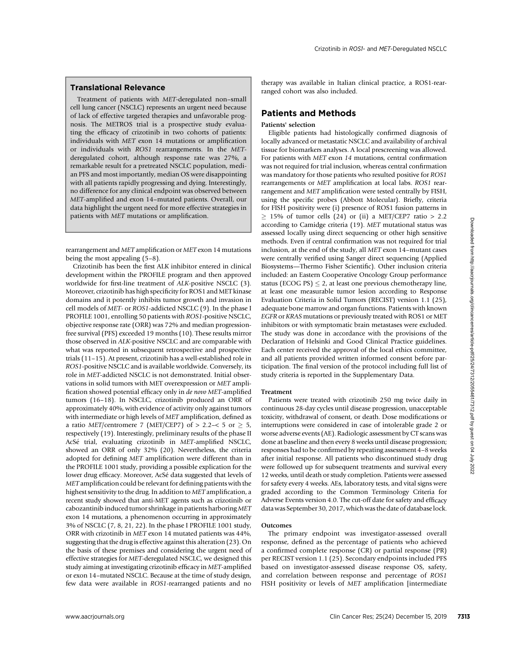# Translational Relevance

Treatment of patients with MET-deregulated non–small cell lung cancer (NSCLC) represents an urgent need because of lack of effective targeted therapies and unfavorable prognosis. The METROS trial is a prospective study evaluating the efficacy of crizotinib in two cohorts of patients: individuals with MET exon 14 mutations or amplification or individuals with ROS1 rearrangements. In the METderegulated cohort, although response rate was 27%, a remarkable result for a pretreated NSCLC population, median PFS and most importantly, median OS were disappointing with all patients rapidly progressing and dying. Interestingly, no difference for any clinical endpoint was observed between MET-amplified and exon 14–mutated patients. Overall, our data highlight the urgent need for more effective strategies in patients with MET mutations or amplification.

rearrangement and MET amplification or MET exon 14 mutations being the most appealing (5–8).

Crizotinib has been the first ALK inhibitor entered in clinical development within the PROFILE program and then approved worldwide for first-line treatment of ALK-positive NSCLC (3). Moreover, crizotinib has high specificity for ROS1 and MET kinase domains and it potently inhibits tumor growth and invasion in cell models of MET- or ROS1-addicted NSCLC (9). In the phase I PROFILE 1001, enrolling 50 patients with ROS1-positive NSCLC, objective response rate (ORR) was 72% and median progressionfree survival (PFS) exceeded 19 months (10). These results mirror those observed in ALK-positive NSCLC and are comparable with what was reported in subsequent retrospective and prospective trials (11–15). At present, crizotinib has a well-established role in ROS1-positive NSCLC and is available worldwide. Conversely, its role in MET-addicted NSCLC is not demonstrated. Initial observations in solid tumors with MET overexpression or MET amplification showed potential efficacy only in de novo MET-amplified tumors (16–18). In NSCLC, crizotinib produced an ORR of approximately 40%, with evidence of activity only against tumors with intermediate or high levels of MET amplification, defined as a ratio MET/centromere 7 (MET/CEP7) of  $> 2.2 - 5$  or  $\geq 5$ , respectively (19). Interestingly, preliminary results of the phase II AcSe trial, evaluating crizotinib in MET-amplified NSCLC, showed an ORR of only 32% (20). Nevertheless, the criteria adopted for defining MET amplification were different than in the PROFILE 1001 study, providing a possible explication for the lower drug efficacy. Moreover, AcSé data suggested that levels of MET amplification could be relevant for defining patients with the highest sensitivity to the drug. In addition to MET amplification, a recent study showed that anti-MET agents such as crizotinib or cabozantinib induced tumor shrinkage in patients harboring MET exon 14 mutations, a phenomenon occurring in approximately 3% of NSCLC (7, 8, 21, 22). In the phase I PROFILE 1001 study, ORR with crizotinib in MET exon 14 mutated patients was 44%, suggesting that the drug is effective against this alteration (23). On the basis of these premises and considering the urgent need of effective strategies for MET-deregulated NSCLC, we designed this study aiming at investigating crizotinib efficacy in MET-amplified or exon 14–mutated NSCLC. Because at the time of study design, few data were available in ROS1-rearranged patients and no www.assemptosted for the control of the control of the clinical cancer Resident Cancer Resident Cancer Resident Cancer Resident Cancer Resident Cancer Resident Cancer Responses to the distribution was noted and the contro

therapy was available in Italian clinical practice, a ROS1-rearranged cohort was also included.

# Patients and Methods

## Patients' selection

Eligible patients had histologically confirmed diagnosis of locally advanced or metastatic NSCLC and availability of archival tissue for biomarkers analyses. A local prescreening was allowed. For patients with MET exon 14 mutations, central confirmation was not required for trial inclusion, whereas central confirmation was mandatory for those patients who resulted positive for ROS1 rearrangements or MET amplification at local labs. ROS1 rearrangement and MET amplification were tested centrally by FISH, using the specific probes (Abbott Molecular). Briefly, criteria for FISH positivity were (i) presence of ROS1 fusion patterns in  $> 15\%$  of tumor cells (24) or (ii) a MET/CEP7 ratio  $> 2.2$ according to Camidge criteria (19). MET mutational status was assessed locally using direct sequencing or other high sensitive methods. Even if central confirmation was not required for trial inclusion, at the end of the study, all MET exon 14–mutant cases were centrally verified using Sanger direct sequencing (Applied Biosystems—Thermo Fisher Scientific). Other inclusion criteria included: an Eastern Cooperative Oncology Group performance status (ECOG PS)  $\leq$  2, at least one previous chemotherapy line, at least one measurable tumor lesion according to Response Evaluation Criteria in Solid Tumors (RECIST) version 1.1 (25), adequate bone marrow and organ functions. Patients with known EGFR or KRAS mutations or previously treated with ROS1 or MET inhibitors or with symptomatic brain metastases were excluded. The study was done in accordance with the provisions of the Declaration of Helsinki and Good Clinical Practice guidelines. Each center received the approval of the local ethics committee, and all patients provided written informed consent before participation. The final version of the protocol including full list of study criteria is reported in the Supplementary Data.

#### Treatment

Patients were treated with crizotinib 250 mg twice daily in continuous 28-day cycles until disease progression, unacceptable toxicity, withdrawal of consent, or death. Dose modifications or interruptions were considered in case of intolerable grade 2 or worse adverse events (AE). Radiologic assessment by CT scans was done at baseline and then every 8 weeks until disease progression; responses had to be confirmed by repeating assessment 4–8 weeks after initial response. All patients who discontinued study drug were followed up for subsequent treatments and survival every 12 weeks, until death or study completion. Patients were assessed for safety every 4 weeks. AEs, laboratory tests, and vital signs were graded according to the Common Terminology Criteria for Adverse Events version 4.0. The cut-off date for safety and efficacy data was September 30, 2017, which was the date of database lock.

# Outcomes

The primary endpoint was investigator-assessed overall response, defined as the percentage of patients who achieved a confirmed complete response (CR) or partial response (PR) per RECIST version 1.1 (25). Secondary endpoints included PFS based on investigator-assessed disease response OS, safety, and correlation between response and percentage of ROS1 FISH positivity or levels of MET amplification [intermediate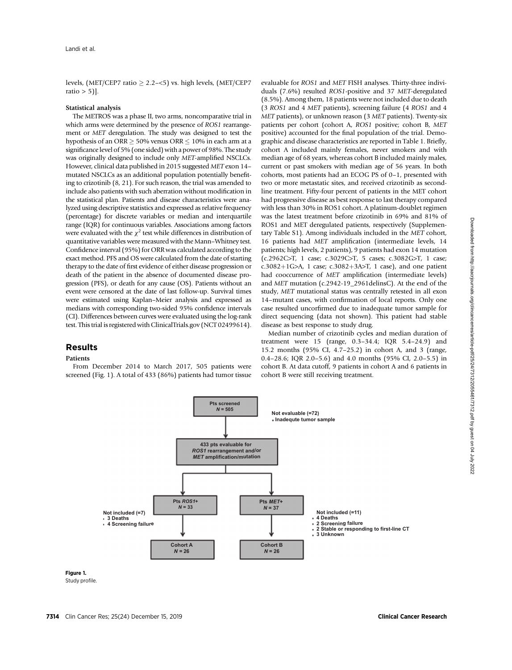levels, (MET/CEP7 ratio  $\geq$  2.2–<5) vs. high levels, (MET/CEP7 ratio  $> 5$ ].

## Statistical analysis

The METROS was a phase II, two arms, noncomparative trial in which arms were determined by the presence of ROS1 rearrangement or MET deregulation. The study was designed to test the hypothesis of an ORR  $> 50\%$  versus ORR  $< 10\%$  in each arm at a significance level of 5% (one sided) with a power of 98%. The study was originally designed to include only MET-amplified NSCLCs. However, clinical data published in 2015 suggested MET exon 14– mutated NSCLCs as an additional population potentially benefiting to crizotinib (8, 21). For such reason, the trial was amended to include also patients with such aberration without modification in the statistical plan. Patients and disease characteristics were analyzed using descriptive statistics and expressed as relative frequency (percentage) for discrete variables or median and interquartile range (IQR) for continuous variables. Associations among factors were evaluated with the  $\chi^2$  test while differences in distribution of quantitative variables were measured with the Mann–Whitney test. Confidence interval (95%) for ORR was calculated according to the exact method. PFS and OS were calculated from the date of starting therapy to the date of first evidence of either disease progression or death of the patient in the absence of documented disease progression (PFS), or death for any cause (OS). Patients without an event were censored at the date of last follow-up. Survival times were estimated using Kaplan–Meier analysis and expressed as medians with corresponding two-sided 95% confidence intervals (CI). Differences between curves were evaluated using the log-rank test. This trial is registered with ClinicalTrials.gov (NCT 02499614).

# Results

# Patients

From December 2014 to March 2017, 505 patients were screened (Fig. 1). A total of 433 (86%) patients had tumor tissue evaluable for ROS1 and MET FISH analyses. Thirty-three individuals (7.6%) resulted ROS1-positive and 37 MET-deregulated (8.5%). Among them, 18 patients were not included due to death (3 ROS1 and 4 MET patients), screening failure (4 ROS1 and 4 MET patients), or unknown reason (3 MET patients). Twenty-six patients per cohort (cohort A, ROS1 positive; cohort B, MET positive) accounted for the final population of the trial. Demographic and disease characteristics are reported in Table 1. Briefly, cohort A included mainly females, never smokers and with median age of 68 years, whereas cohort B included mainly males, current or past smokers with median age of 56 years. In both cohorts, most patients had an ECOG PS of 0–1, presented with two or more metastatic sites, and received crizotinib as secondline treatment. Fifty-four percent of patients in the MET cohort had progressive disease as best response to last therapy compared with less than 30% in ROS1 cohort. A platinum-doublet regimen was the latest treatment before crizotinib in 69% and 81% of ROS1 and MET deregulated patients, respectively (Supplementary Table S1). Among individuals included in the MET cohort, 16 patients had MET amplification (intermediate levels, 14 patients; high levels, 2 patients), 9 patients had exon 14 mutation (c.2962C>T, 1 case; c.3029C>T, 5 cases; c.3082G>T, 1 case; c.3082+1G>A, 1 case; c.3082+3A>T, 1 case), and one patient had cooccurrence of MET amplification (intermediate levels) and MET mutation (c.2942-19\_2961delinsC). At the end of the study, MET mutational status was centrally retested in all exon 14–mutant cases, with confirmation of local reports. Only one case resulted uncorfirmed due to inadequate tumor sample for direct sequencing (data not shown). This patient had stable disease as best response to study drug.

Median number of crizotinib cycles and median duration of treatment were 15 (range, 0.3–34.4; IQR 5.4–24.9) and 15.2 months (95% CI, 4.7–25.2) in cohort A, and 3 (range, 0.4–28.6; IQR 2.0–5.6) and 4.0 months (95% CI, 2.0–5.5) in cohort B. At data cutoff, 9 patients in cohort A and 6 patients in cohort B were still receiving treatment.



Study profile.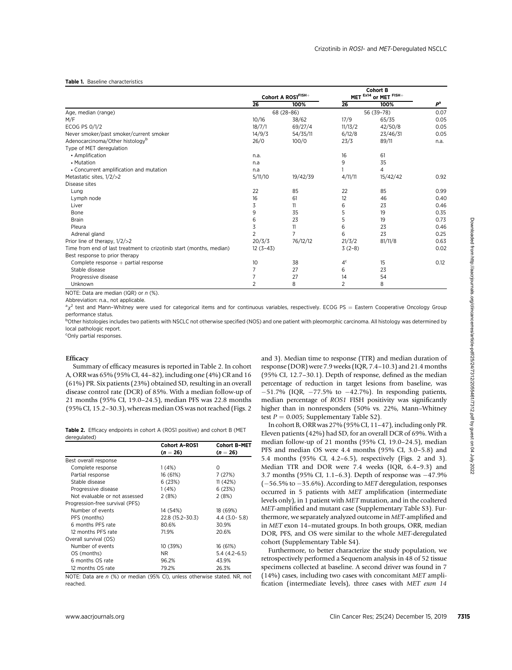#### Table 1. Baseline characteristics

| Age, median (range)<br>M/F<br>ECOG PS 0/1/2                                                                                                                                                                                                                                                                                                                                                                                                                                                                                                                                                                                                                                                   |                      |                     |                 |                                             |                |                                                                                                                                                                                                                                                                                                                              |                        |
|-----------------------------------------------------------------------------------------------------------------------------------------------------------------------------------------------------------------------------------------------------------------------------------------------------------------------------------------------------------------------------------------------------------------------------------------------------------------------------------------------------------------------------------------------------------------------------------------------------------------------------------------------------------------------------------------------|----------------------|---------------------|-----------------|---------------------------------------------|----------------|------------------------------------------------------------------------------------------------------------------------------------------------------------------------------------------------------------------------------------------------------------------------------------------------------------------------------|------------------------|
|                                                                                                                                                                                                                                                                                                                                                                                                                                                                                                                                                                                                                                                                                               |                      |                     | $\overline{26}$ | Cohort A ROS1FISH+<br>100%                  | 26             | MET Ex14 or MET FISH+<br>100%                                                                                                                                                                                                                                                                                                |                        |
|                                                                                                                                                                                                                                                                                                                                                                                                                                                                                                                                                                                                                                                                                               |                      |                     |                 | 68 (28-86)                                  |                | 56 (39-78)                                                                                                                                                                                                                                                                                                                   | P <sup>a</sup><br>0.07 |
|                                                                                                                                                                                                                                                                                                                                                                                                                                                                                                                                                                                                                                                                                               |                      |                     | 10/16           | 38/62                                       | 17/9           | 65/35                                                                                                                                                                                                                                                                                                                        | 0.05                   |
|                                                                                                                                                                                                                                                                                                                                                                                                                                                                                                                                                                                                                                                                                               |                      |                     | 18/7/1          | 69/27/4                                     | 11/13/2        | 42/50/8                                                                                                                                                                                                                                                                                                                      | 0.05                   |
| Never smoker/past smoker/current smoker                                                                                                                                                                                                                                                                                                                                                                                                                                                                                                                                                                                                                                                       |                      |                     | 14/9/3          | 54/35/11                                    | 6/12/8         | 23/46/31                                                                                                                                                                                                                                                                                                                     | 0.05                   |
| Adenocarcinoma/Other histology <sup>b</sup>                                                                                                                                                                                                                                                                                                                                                                                                                                                                                                                                                                                                                                                   |                      |                     | 26/0            | 100/0                                       | 23/3           | 89/11                                                                                                                                                                                                                                                                                                                        | n.a.                   |
| Type of MET deregulation                                                                                                                                                                                                                                                                                                                                                                                                                                                                                                                                                                                                                                                                      |                      |                     |                 |                                             |                |                                                                                                                                                                                                                                                                                                                              |                        |
| • Amplification                                                                                                                                                                                                                                                                                                                                                                                                                                                                                                                                                                                                                                                                               |                      |                     | n.a.            |                                             | 16             | 61                                                                                                                                                                                                                                                                                                                           |                        |
| • Mutation                                                                                                                                                                                                                                                                                                                                                                                                                                                                                                                                                                                                                                                                                    |                      |                     | n.a             |                                             | 9              | 35                                                                                                                                                                                                                                                                                                                           |                        |
| • Concurrent amplification and mutation                                                                                                                                                                                                                                                                                                                                                                                                                                                                                                                                                                                                                                                       |                      |                     | n.a             |                                             | $\mathbf{1}$   | 4                                                                                                                                                                                                                                                                                                                            |                        |
| Metastatic sites, 1/2/>2                                                                                                                                                                                                                                                                                                                                                                                                                                                                                                                                                                                                                                                                      |                      |                     | 5/11/10         | 19/42/39                                    | 4/11/11        | 15/42/42                                                                                                                                                                                                                                                                                                                     | 0.92                   |
| Disease sites                                                                                                                                                                                                                                                                                                                                                                                                                                                                                                                                                                                                                                                                                 |                      |                     |                 |                                             |                |                                                                                                                                                                                                                                                                                                                              |                        |
| Lung                                                                                                                                                                                                                                                                                                                                                                                                                                                                                                                                                                                                                                                                                          |                      |                     | 22              | 85                                          | 22             | 85                                                                                                                                                                                                                                                                                                                           | 0.99                   |
| Lymph node                                                                                                                                                                                                                                                                                                                                                                                                                                                                                                                                                                                                                                                                                    |                      |                     | 16              | 61                                          | 12             | 46                                                                                                                                                                                                                                                                                                                           | 0.40                   |
| Liver                                                                                                                                                                                                                                                                                                                                                                                                                                                                                                                                                                                                                                                                                         |                      |                     | 3               | 11                                          | 6              | 23                                                                                                                                                                                                                                                                                                                           | 0.46                   |
| Bone                                                                                                                                                                                                                                                                                                                                                                                                                                                                                                                                                                                                                                                                                          |                      |                     | 9               | 35                                          | 5              | 19                                                                                                                                                                                                                                                                                                                           | 0.35                   |
| Brain                                                                                                                                                                                                                                                                                                                                                                                                                                                                                                                                                                                                                                                                                         |                      |                     | 6               | 23                                          | 5              | 19                                                                                                                                                                                                                                                                                                                           | 0.73                   |
| Pleura                                                                                                                                                                                                                                                                                                                                                                                                                                                                                                                                                                                                                                                                                        |                      |                     | 3               | 11                                          | 6              | 23                                                                                                                                                                                                                                                                                                                           | 0.46                   |
| Adrenal gland                                                                                                                                                                                                                                                                                                                                                                                                                                                                                                                                                                                                                                                                                 |                      |                     | $\overline{2}$  | 7                                           | 6              | 23                                                                                                                                                                                                                                                                                                                           | 0.25                   |
| Prior line of therapy, $1/2$ / $>2$                                                                                                                                                                                                                                                                                                                                                                                                                                                                                                                                                                                                                                                           |                      |                     | 20/3/3          | 76/12/12                                    | 21/3/2         | 81/11/8                                                                                                                                                                                                                                                                                                                      | 0.63                   |
| Time from end of last treatment to crizotinib start (months, median)                                                                                                                                                                                                                                                                                                                                                                                                                                                                                                                                                                                                                          |                      |                     | $12(3-43)$      |                                             | $3(2-8)$       |                                                                                                                                                                                                                                                                                                                              | 0.02                   |
|                                                                                                                                                                                                                                                                                                                                                                                                                                                                                                                                                                                                                                                                                               |                      |                     |                 |                                             |                |                                                                                                                                                                                                                                                                                                                              |                        |
| Best response to prior therapy                                                                                                                                                                                                                                                                                                                                                                                                                                                                                                                                                                                                                                                                |                      |                     | 10              | 38                                          | 4 <sup>c</sup> | 15                                                                                                                                                                                                                                                                                                                           | 0.12                   |
| Complete response $+$ partial response<br>Stable disease                                                                                                                                                                                                                                                                                                                                                                                                                                                                                                                                                                                                                                      |                      |                     | $\overline{7}$  | 27                                          | 6              | 23                                                                                                                                                                                                                                                                                                                           |                        |
|                                                                                                                                                                                                                                                                                                                                                                                                                                                                                                                                                                                                                                                                                               |                      |                     | $\overline{7}$  | 27                                          | 14             | 54                                                                                                                                                                                                                                                                                                                           |                        |
| Progressive disease<br>Unknown                                                                                                                                                                                                                                                                                                                                                                                                                                                                                                                                                                                                                                                                |                      |                     | $\overline{2}$  | 8                                           | 2              | 8                                                                                                                                                                                                                                                                                                                            |                        |
| NOTE: Data are median (IQR) or n (%).                                                                                                                                                                                                                                                                                                                                                                                                                                                                                                                                                                                                                                                         |                      |                     |                 |                                             |                |                                                                                                                                                                                                                                                                                                                              |                        |
| Summary of efficacy measures is reported in Table 2. In cohort                                                                                                                                                                                                                                                                                                                                                                                                                                                                                                                                                                                                                                |                      |                     |                 |                                             |                | and 3). Median time to response (TTR) and median duration of<br>response (DOR) were 7.9 weeks (IQR, 7.4–10.3) and 21.4 months                                                                                                                                                                                                |                        |
|                                                                                                                                                                                                                                                                                                                                                                                                                                                                                                                                                                                                                                                                                               |                      |                     |                 |                                             |                | (95% CI, 12.7–30.1). Depth of response, defined as the median<br>percentage of reduction in target lesions from baseline, was<br>$-51.7\%$ (IQR, $-77.5\%$ to $-42.7\%$ ). In responding patients,<br>median percentage of ROS1 FISH positivity was significantly<br>higher than in nonresponders (50% vs. 22%, Mann-Whitney |                        |
| <sup>b</sup> Other histologies includes two patients with NSCLC not otherwise specified (NOS) and one patient with pleomorphic carcinoma. All histology was determined by<br>local pathologic report.<br><sup>c</sup> Only partial responses.<br>Efficacy<br>A, ORR was 65% (95% CI, 44–82), including one (4%) CR and 16<br>(61%) PR. Six patients (23%) obtained SD, resulting in an overall<br>disease control rate (DCR) of 85%. With a median follow-up of<br>21 months (95% CI, 19.0-24.5), median PFS was 22.8 months<br>(95% CI, 15.2-30.3), whereas median OS was not reached (Figs. 2)<br>Table 2. Efficacy endpoints in cohort A (ROS1 positive) and cohort B (MET<br>deregulated) |                      |                     |                 | test $P = 0.005$ ; Supplementary Table S2). |                | In cohort B, ORR was $27\%$ (95% CI, 11-47), including only PR.<br>Eleven patients (42%) had SD, for an overall DCR of 69%. With a                                                                                                                                                                                           |                        |
|                                                                                                                                                                                                                                                                                                                                                                                                                                                                                                                                                                                                                                                                                               | <b>Cohort A-ROS1</b> | <b>Cohort B-MET</b> |                 |                                             |                | median follow-up of 21 months (95% CI, 19.0-24.5), median                                                                                                                                                                                                                                                                    |                        |
|                                                                                                                                                                                                                                                                                                                                                                                                                                                                                                                                                                                                                                                                                               | $(n = 26)$           | $(n = 26)$          |                 |                                             |                | PFS and median OS were 4.4 months (95% CI, 3.0–5.8) and                                                                                                                                                                                                                                                                      |                        |
|                                                                                                                                                                                                                                                                                                                                                                                                                                                                                                                                                                                                                                                                                               |                      |                     |                 |                                             |                | 5.4 months (95% CI, 4.2–6.5), respectively (Figs. 2 and 3).                                                                                                                                                                                                                                                                  |                        |
| Complete response                                                                                                                                                                                                                                                                                                                                                                                                                                                                                                                                                                                                                                                                             | 1(4%)                | 0                   |                 |                                             |                | Median TTR and DOR were 7.4 weeks (IQR, 6.4–9.3) and                                                                                                                                                                                                                                                                         |                        |
| Partial response                                                                                                                                                                                                                                                                                                                                                                                                                                                                                                                                                                                                                                                                              | 16 (61%)             | 7 (27%)             |                 |                                             |                | 3.7 months (95% CI, 1.1-6.3). Depth of response was -47.9%                                                                                                                                                                                                                                                                   |                        |
| Stable disease                                                                                                                                                                                                                                                                                                                                                                                                                                                                                                                                                                                                                                                                                | 6 (23%)              | 11(42%)             |                 |                                             |                | (-56.5% to -35.6%). According to MET deregulation, responses                                                                                                                                                                                                                                                                 |                        |
| Best overall response<br>Progressive disease                                                                                                                                                                                                                                                                                                                                                                                                                                                                                                                                                                                                                                                  | 1(4%)                | 6 (23%)             |                 |                                             |                |                                                                                                                                                                                                                                                                                                                              |                        |
| Not evaluable or not assessed                                                                                                                                                                                                                                                                                                                                                                                                                                                                                                                                                                                                                                                                 | 2(8%)                | 2 (8%)              |                 |                                             |                | occurred in 5 patients with MET amplification (intermediate                                                                                                                                                                                                                                                                  |                        |
|                                                                                                                                                                                                                                                                                                                                                                                                                                                                                                                                                                                                                                                                                               |                      |                     |                 |                                             |                | levels only), in 1 patient with MET mutation, and in the coaltered                                                                                                                                                                                                                                                           |                        |
| Number of events                                                                                                                                                                                                                                                                                                                                                                                                                                                                                                                                                                                                                                                                              | 14 (54%)             | 18 (69%)            |                 |                                             |                | MET-amplified and mutant case (Supplementary Table S3). Fur-                                                                                                                                                                                                                                                                 |                        |
| PFS (months)                                                                                                                                                                                                                                                                                                                                                                                                                                                                                                                                                                                                                                                                                  | 22.8 (15.2-30.3)     | 4.4 (3.0-5.8)       |                 |                                             |                | thermore, we separately analyzed outcome in MET-amplified and                                                                                                                                                                                                                                                                |                        |
| 6 months PFS rate                                                                                                                                                                                                                                                                                                                                                                                                                                                                                                                                                                                                                                                                             | 80.6%                | 30.9%               |                 |                                             |                | in MET exon 14-mutated groups. In both groups, ORR, median                                                                                                                                                                                                                                                                   |                        |
| 12 months PFS rate                                                                                                                                                                                                                                                                                                                                                                                                                                                                                                                                                                                                                                                                            | 71.9%                | 20.6%               |                 |                                             |                |                                                                                                                                                                                                                                                                                                                              |                        |
|                                                                                                                                                                                                                                                                                                                                                                                                                                                                                                                                                                                                                                                                                               |                      |                     |                 |                                             |                | DOR, PFS, and OS were similar to the whole MET-deregulated                                                                                                                                                                                                                                                                   |                        |
| Number of events                                                                                                                                                                                                                                                                                                                                                                                                                                                                                                                                                                                                                                                                              |                      | 16 (61%)            |                 | cohort (Supplementary Table S4).            |                |                                                                                                                                                                                                                                                                                                                              |                        |
| Progression-free survival (PFS)<br>Overall survival (OS)<br>OS (months)                                                                                                                                                                                                                                                                                                                                                                                                                                                                                                                                                                                                                       | 10 (39%)<br>NR       |                     |                 |                                             |                | Furthermore, to better characterize the study population, we                                                                                                                                                                                                                                                                 |                        |
|                                                                                                                                                                                                                                                                                                                                                                                                                                                                                                                                                                                                                                                                                               |                      | $5.4(4.2-6.5)$      |                 |                                             |                | retrospectively performed a Sequenom analysis in 48 of 52 tissue                                                                                                                                                                                                                                                             |                        |
| 6 months OS rate<br>12 months OS rate                                                                                                                                                                                                                                                                                                                                                                                                                                                                                                                                                                                                                                                         | 96.2%<br>79.2%       | 43.9%<br>26.3%      |                 |                                             |                | specimens collected at baseline. A second driver was found in 7                                                                                                                                                                                                                                                              |                        |

## **Efficacy**

|                                 | <b>Cohort A-ROS1</b> | <b>Cohort B-MET</b> |
|---------------------------------|----------------------|---------------------|
|                                 | $(n = 26)$           | $(n = 26)$          |
| Best overall response           |                      |                     |
| Complete response               | 1(4%)                | Ω                   |
| Partial response                | 16 (61%)             | 7(27%)              |
| Stable disease                  | 6(23%)               | 11 (42%)            |
| Progressive disease             | 1(4%)                | 6 (23%)             |
| Not evaluable or not assessed   | 2(8%)                | 2(8%)               |
| Progression-free survival (PFS) |                      |                     |
| Number of events                | 14 (54%)             | 18 (69%)            |
| PFS (months)                    | 22.8 (15.2–30.3)     | $4.4(3.0 - 5.8)$    |
| 6 months PFS rate               | 80.6%                | 30.9%               |
| 12 months PFS rate              | 71.9%                | 20.6%               |
| Overall survival (OS)           |                      |                     |
| Number of events                | 10 (39%)             | 16 (61%)            |
| OS (months)                     | NR.                  | $5.4(4.2-6.5)$      |
| 6 months OS rate                | 96.2%                | 43.9%               |
| 12 months OS rate               | 79.2%                | 26.3%               |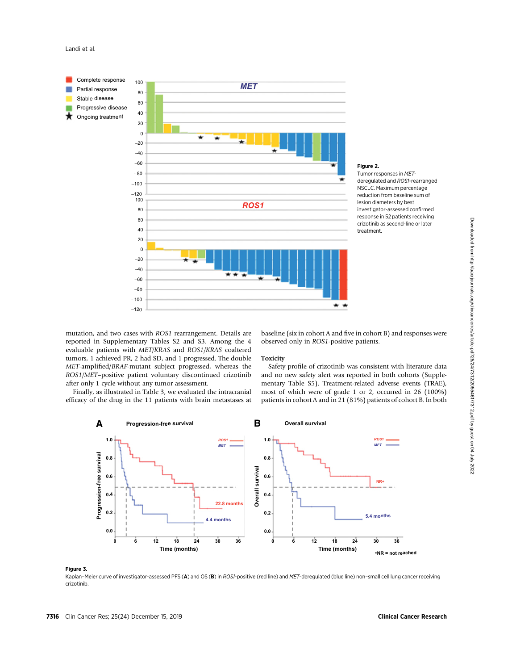



# Figure 2.

Tumor responses in METderegulated and ROS1-rearranged NSCLC. Maximum percentage reduction from baseline sum of lesion diameters by best investigator-assessed confirmed response in 52 patients receiving crizotinib as second-line or later treatment.

mutation, and two cases with ROS1 rearrangement. Details are reported in Supplementary Tables S2 and S3. Among the 4 evaluable patients with MET/KRAS and ROS1/KRAS coaltered tumors, 1 achieved PR, 2 had SD, and 1 progressed. The double MET-amplified/BRAF-mutant subject progressed, whereas the ROS1/MET–positive patient voluntary discontinued crizotinib after only 1 cycle without any tumor assessment.

Finally, as illustrated in Table 3, we evaluated the intracranial efficacy of the drug in the 11 patients with brain metastases at baseline (six in cohort A and five in cohort B) and responses were observed only in ROS1-positive patients.

## Toxicity

Safety profile of crizotinib was consistent with literature data and no new safety alert was reported in both cohorts (Supplementary Table S5). Treatment-related adverse events (TRAE), most of which were of grade 1 or 2, occurred in 26 (100%) patients in cohort A and in 21 (81%) patients of cohort B. In both



## Figure 3.

Kaplan–Meier curve of investigator-assessed PFS (A) and OS (B) in ROS1-positive (red line) and MET-deregulated (blue line) non-small cell lung cancer receiving crizotinib.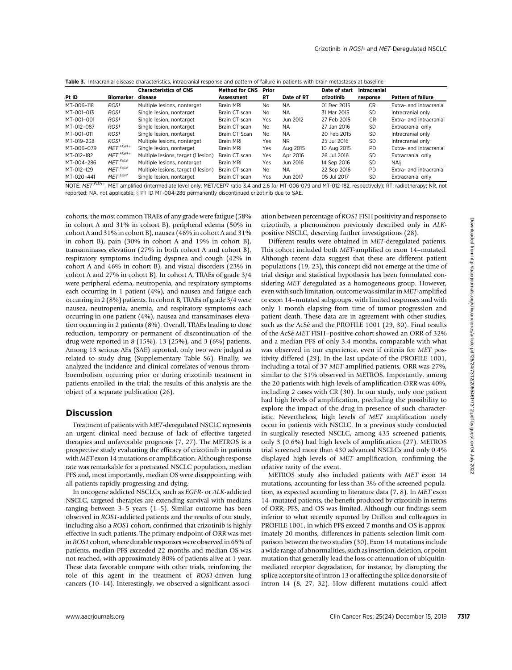|  |  |  | Table 3. Intracranial disease characteristics, intracranial response and pattern of failure in patients with brain metastases at baseline |  |  |  |  |  |  |  |  |  |  |
|--|--|--|-------------------------------------------------------------------------------------------------------------------------------------------|--|--|--|--|--|--|--|--|--|--|
|--|--|--|-------------------------------------------------------------------------------------------------------------------------------------------|--|--|--|--|--|--|--|--|--|--|

|            |                     | <b>Characteristics of CNS</b>       | <b>Method for CNS</b> | Prior          |            | Date of start | <b>Intracranial</b> |                           |
|------------|---------------------|-------------------------------------|-----------------------|----------------|------------|---------------|---------------------|---------------------------|
| Pt ID      | Biomarker           | disease                             | Assessment            | RT             | Date of RT | crizotinib    | response            | <b>Pattern of failure</b> |
| MT-006-118 | ROS1                | Multiple lesions, nontarget         | <b>Brain MRI</b>      | No             | <b>NA</b>  | 01 Dec 2015   | <b>CR</b>           | Extra- and intracranial   |
| MT-001-013 | ROS1                | Single lesion, nontarget            | Brain CT scan         | No             | NA.        | 31 Mar 2015   | <b>SD</b>           | Intracranial only         |
| MT-001-001 | ROS1                | Single lesion, nontarget            | Brain CT scan         | Yes            | Jun 2012   | 27 Feb 2015   | <b>CR</b>           | Extra- and intracranial   |
| MT-012-087 | ROS1                | Single lesion, nontarget            | Brain CT scan         | No.            | NA.        | 27 Jan 2016   | <b>SD</b>           | Extracranial only         |
| MT-001-011 | ROS1                | Single lesion, nontarget            | Brain CT Scan         | N <sub>0</sub> | NA.        | 20 Feb 2015   | <b>SD</b>           | Intracranial only         |
| MT-019-238 | ROS1                | Multiple lesions, nontarget         | Brain MRI             | Yes            | NR.        | 25 Jul 2016   | <b>SD</b>           | Intracranial only         |
| MT-006-079 | $MET$ $FISH+$       | Single lesion, nontarget            | <b>Brain MRI</b>      | Yes            | Aug 2015   | 10 Aug 2015   | <b>PD</b>           | Extra- and intracranial   |
| MT-012-182 | $MET$ $FISH+$       | Multiple lesions, target (1 lesion) | Brain CT scan         | Yes            | Apr 2016   | 26 Jul 2016   | <b>SD</b>           | Extracranial only         |
| MT-004-286 | MET <sup>Ex14</sup> | Multiple lesions, nontarget         | Brain MRI             | Yes            | Jun 2016   | 14 Sep 2016   | <b>SD</b>           | NA <sub>§</sub>           |
| MT-012-129 | MET <sup>Ex14</sup> | Multiple lesions, target (1 lesion) | Brain CT scan         | No             | NА         | 22 Sep 2016   | <b>PD</b>           | Extra- and intracranial   |
| MT-020-441 | MET <sup>Ex14</sup> | Single lesion, nontarget            | Brain CT scan         | Yes            | Jun 2017   | 05 Jul 2017   | <b>SD</b>           | Extracranial only         |

NOTE: MET FISH+, MET amplified (intermediate level only, MET/CEP7 ratio 3.4 and 2.6 for MT-006-079 and MT-012-182, respectively); RT, radiotherapy; NR, not reported; NA, not applicable; § PT ID MT-004-286 permanently discontinued crizotinib due to SAE.

cohorts, the most common TRAEs of any grade were fatigue (58% in cohort A and 31% in cohort B), peripheral edema (50% in cohort A and 31% in cohort B), nausea (46% in cohort A and 31% in cohort B), pain (30% in cohort A and 19% in cohort B), transaminases elevation (27% in both cohort A and cohort B), respiratory symptoms including dyspnea and cough (42% in cohort A and 46% in cohort B), and visual disorders (23% in cohort A and 27% in cohort B). In cohort A, TRAEs of grade 3/4 were peripheral edema, neutropenia, and respiratory symptoms each occurring in 1 patient (4%), and nausea and fatigue each occurring in 2 (8%) patients. In cohort B, TRAEs of grade 3/4 were nausea, neutropenia, anemia, and respiratory symptoms each occurring in one patient (4%), nausea and transaminases elevation occurring in 2 patients (8%). Overall, TRAEs leading to dose reduction, temporary or permanent of discontinuation of the drug were reported in 8 (15%), 13 (25%), and 3 (6%) patients. Among 13 serious AEs (SAE) reported, only two were judged as related to study drug (Supplementary Table S6). Finally, we analyzed the incidence and clinical correlates of venous thromboembolism occurring prior or during crizotinib treatment in patients enrolled in the trial; the results of this analysis are the object of a separate publication (26).

# Discussion

Treatment of patients with MET-deregulated NSCLC represents an urgent clinical need because of lack of effective targeted therapies and unfavorable prognosis (7, 27). The METROS is a prospective study evaluating the efficacy of crizotinib in patients with MET exon 14 mutations or amplification. Although response rate was remarkable for a pretreated NSCLC population, median PFS and, most importantly, median OS were disappointing, with all patients rapidly progressing and dying.

In oncogene addicted NSCLCs, such as EGFR- or ALK-addicted NSCLC, targeted therapies are extending survival with medians ranging between 3–5 years (1–5). Similar outcome has been observed in ROS1-addicted patients and the results of our study, including also a ROS1 cohort, confirmed that crizotinib is highly effective in such patients. The primary endpoint of ORR was met in ROS1 cohort, where durable responses were observed in 65% of patients, median PFS exceeded 22 months and median OS was not reached, with approximately 80% of patients alive at 1 year. These data favorable compare with other trials, reinforcing the role of this agent in the treatment of ROS1-driven lung cancers (10–14). Interestingly, we observed a significant association between percentage of ROS1 FISH positivity and response to crizotinib, a phenomenon previously described only in ALKpositive NSCLC, deserving further investigations (28).

Different results were obtained in MET-deregulated patients. This cohort included both MET-amplified or exon 14–mutated. Although recent data suggest that these are different patient populations (19, 23), this concept did not emerge at the time of trial design and statistical hypothesis has been formulated considering MET deregulated as a homogeneous group. However, even with such limitation, outcome was similar in MET-amplified or exon 14–mutated subgroups, with limited responses and with only 1 month elapsing from time of tumor progression and patient death. These data are in agreement with other studies, such as the AcSé and the PROFILE 1001 (29, 30). Final results of the AcSe MET FISH–positive cohort showed an ORR of 32% and a median PFS of only 3.4 months, comparable with what was observed in our experience, even if criteria for MET positivity differed (29). In the last update of the PROFILE 1001, including a total of 37 MET-amplified patients, ORR was 27%, similar to the 31% observed in METROS. Importantly, among the 20 patients with high levels of amplification ORR was 40%, including 2 cases with CR (30). In our study, only one patient had high levels of amplification, precluding the possibility to explore the impact of the drug in presence of such characteristic. Nevertheless, high levels of MET amplification rarely occur in patients with NSCLC. In a previous study conducted in surgically resected NSCLC, among 435 screened patients, only 3 (0.6%) had high levels of amplification (27). METROS trial screened more than 430 advanced NSCLCs and only 0.4% displayed high levels of MET amplification, confirming the relative rarity of the event. in column 3 is in column 16, 2013), projection is clicked in the clinical cancer Restrict entry in the column 2 is an objective of the column 2 is a client column 2 is a client column 2 is a client column 2 is a client co

METROS study also included patients with MET exon 14 mutations, accounting for less than 3% of the screened population, as expected according to literature data (7, 8). In MET exon 14–mutated patients, the benefit produced by crizotinib in terms of ORR, PFS, and OS was limited. Although our findings seem inferior to what recently reported by Drillon and colleagues in PROFILE 1001, in which PFS exceed 7 months and OS is approximately 20 months, differences in patients selection limit comparison between the two studies (30). Exon 14 mutations include a wide range of abnormalities, such as insertion, deletion, or point mutation that generally lead the loss or attenuation of ubiquitinmediated receptor degradation, for instance, by disrupting the splice acceptor site of intron 13 or affecting the splice donor site of intron 14 (8, 27, 32). How different mutations could affect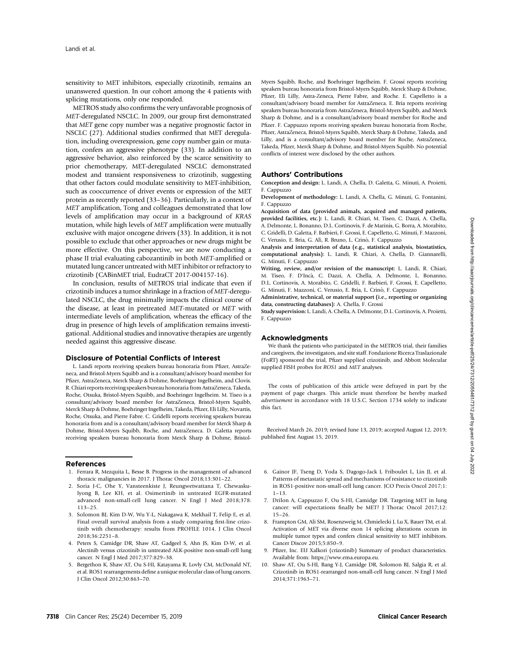sensitivity to MET inhibitors, especially crizotinib, remains an unanswered question. In our cohort among the 4 patients with splicing mutations, only one responded.

METROS study also confirms the very unfavorable prognosis of MET-deregulated NSCLC. In 2009, our group first demonstrated that MET gene copy number was a negative prognostic factor in NSCLC (27). Additional studies confirmed that MET deregulation, including overexpression, gene copy number gain or mutation, confers an aggressive phenotype (33). In addition to an aggressive behavior, also reinforced by the scarce sensitivity to prior chemotherapy, MET-deregulated NSCLC demonstrated modest and transient responsiveness to crizotinib, suggesting that other factors could modulate sensitivity to MET-inhibition, such as cooccurrence of driver events or expression of the MET protein as recently reported (33–36). Particularly, in a context of MET amplification, Tong and colleagues demonstrated that low levels of amplification may occur in a background of KRAS mutation, while high levels of MET amplification were mutually exclusive with major oncogene drivers (33). In addition, it is not possible to exclude that other approaches or new drugs might be more effective. On this perspective, we are now conducting a phase II trial evaluating cabozantinib in both MET-amplified or mutated lung cancer untreated with MET inhibitor or refractory to crizotinib (CABinMET trial, EudraCT 2017-004157-16).

In conclusion, results of METROS trial indicate that even if crizotinib induces a tumor shrinkage in a fraction of MET-deregulated NSCLC, the drug minimally impacts the clinical course of the disease, at least in pretreated MET-mutated or MET with intermediate levels of amplification, whereas the efficacy of the drug in presence of high levels of amplification remains investigational. Additional studies and innovative therapies are urgently needed against this aggressive disease.

# Disclosure of Potential Conflicts of Interest

L. Landi reports receiving speakers bureau honoraria from Pfizer, AstraZeneca, and Bristol-Myers Squibb and is a consultant/advisory board member for Pfizer, AstraZeneca, Merck Sharp & Dohme, Boehringer Ingelheim, and Clovis. R. Chiari reports receiving speakers bureau honoraria from AstraZeneca, Takeda, Roche, Otsuka, Bristol-Myers Squibb, and Boehringer Ingelheim. M. Tiseo is a consultant/advisory board member for AstraZeneca, Bristol-Myers Squibb, Merck Sharp & Dohme, Boehringer Ingelheim, Takeda, Pfizer, Eli Lilly, Novartis, Roche, Otsuka, and Pierre Fabre. C. Gridelli reports receiving speakers bureau honoraria from and is a consultant/advisory board member for Merck Sharp & Dohme, Bristol-Myers Squibb, Roche, and AstraZeneca. D. Galetta reports receiving speakers bureau honoraria from Merck Sharp & Dohme, Bristol-

## References

- 1. Ferrara R, Mezquita L, Besse B. Progress in the management of advanced thoracic malignancies in 2017. J Thorac Oncol 2018;13:301–22.
- 2. Soria J-C, Ohe Y, Vansteenkiste J, Reungwetwattana T, Chewaskulyong B, Lee KH, et al. Osimertinib in untreated EGFR-mutated advanced non-small-cell lung cancer. N Engl J Med 2018;378: 113–25.
- 3. Solomon BJ, Kim D-W, Wu Y-L, Nakagawa K, Mekhail T, Felip E, et al. Final overall survival analysis from a study comparing first-line crizotinib with chemotherapy: results from PROFILE 1014. J Clin Oncol 2018;36:2251–8.
- 4. Peters S, Camidge DR, Shaw AT, Gadgeel S, Ahn JS, Kim D-W, et al. Alectinib versus crizotinib in untreated ALK-positive non-small-cell lung cancer. N Engl J Med 2017;377:829–38.
- 5. Bergethon K, Shaw AT, Ou S-HI, Katayama R, Lovly CM, McDonald NT, et al. ROS1 rearrangements define a unique molecular class of lung cancers. J Clin Oncol 2012;30:863–70.

Myers Squibb, Roche, and Boehringer Ingelheim. F. Grossi reports receiving speakers bureau honoraria from Bristol-Myers Squibb, Merck Sharp & Dohme, Pfizer, Eli Lilly, Astra-Zeneca, Pierre Fabre, and Roche. E. Capelletto is a consultant/advisory board member for AstraZeneca. E. Bria reports receiving speakers bureau honoraria from AstraZeneca, Bristol-Myers Squibb, and Merck Sharp & Dohme, and is a consultant/advisory board member for Roche and Pfizer. F. Cappuzzo reports receiving speakers bureau honoraria from Roche, Pfizer, AstraZeneca, Bristol-Myers Squibb, Merck Sharp & Dohme, Takeda, and Lilly, and is a consultant/advisory board member for Roche, AstraZeneca, Takeda, Pfizer, Merck Sharp & Dohme, and Bristol-Myers Squibb. No potential conflicts of interest were disclosed by the other authors.

# Authors' Contributions

Conception and design: L. Landi, A. Chella, D. Galetta, G. Minuti, A. Proietti, F. Cappuzzo

Development of methodology: L. Landi, A. Chella, G. Minuti, G. Fontanini, F. Cappuzzo

Acquisition of data (provided animals, acquired and managed patients, provided facilities, etc.): L. Landi, R. Chiari, M. Tiseo, C. Dazzi, A. Chella, A. Delmonte, L. Bonanno, D.L. Cortinovis, F. de Marinis, G. Borra, A. Morabito, C. Gridelli, D. Galetta, F. Barbieri, F. Grossi, E. Capelletto, G. Minuti, F. Mazzoni, C. Verusio, E. Bria, G. Alì, R. Bruno, L. Crinò, F. Cappuzzo

Analysis and interpretation of data (e.g., statistical analysis, biostatistics, computational analysis): L. Landi, R. Chiari, A. Chella, D. Giannarelli, G. Minuti, F. Cappuzzo

Writing, review, and/or revision of the manuscript: L. Landi, R. Chiari, M. Tiseo, F. D'Inca, C. Dazzi, A. Chella, A. Delmonte, L. Bonanno, D.L. Cortinovis, A. Morabito, C. Gridelli, F. Barbieri, F. Grossi, E. Capelletto, G. Minuti, F. Mazzoni, C. Verusio, E. Bria, L. Crinò, F. Cappuzzo

Administrative, technical, or material support (i.e., reporting or organizing data, constructing databases): A. Chella, F. Grossi

Study supervision: L. Landi, A. Chella, A. Delmonte, D.L. Cortinovis, A. Proietti, F. Cappuzzo

## Acknowledgments

We thank the patients who participated in the METROS trial, their families and caregivers, the investigators, and site staff. Fondazione Ricerca Traslazionale (FoRT) sponsored the trial, Pfizer supplied crizotinib, and Abbott Molecular supplied FISH probes for ROS1 and MET analyses.

The costs of publication of this article were defrayed in part by the payment of page charges. This article must therefore be hereby marked advertisement in accordance with 18 U.S.C. Section 1734 solely to indicate this fact.

Received March 26, 2019; revised June 13, 2019; accepted August 12, 2019; published first August 15, 2019.

- 6. Gainor JF, Tseng D, Yoda S, Dagogo-Jack I, Friboulet L, Lin JJ, et al. Patterns of metastatic spread and mechanisms of resistance to crizotinib in ROS1-positive non-small-cell lung cancer. JCO Precis Oncol 2017;1: 1–13.
- 7. Drilon A, Cappuzzo F, Ou S-HI, Camidge DR. Targeting MET in lung cancer: will expectations finally be MET? J Thorac Oncol 2017;12: 15–26.
- 8. Frampton GM, Ali SM, Rosenzweig M, Chmielecki J, Lu X, Bauer TM, et al. Activation of MET via diverse exon 14 splicing alterations occurs in multiple tumor types and confers clinical sensitivity to MET inhibitors. Cancer Discov 2015;5:850–9.
- 9. Pfizer, Inc. EU Xalkori (crizotinib) Summary of product characteristics. Available from: [https://www.ema.europa.eu.](https://www.ema.europa.eu)
- 10. Shaw AT, Ou S-HI, Bang Y-J, Camidge DR, Solomon BJ, Salgia R, et al. Crizotinib in ROS1-rearranged non-small-cell lung cancer. N Engl J Med 2014;371:1963–71.